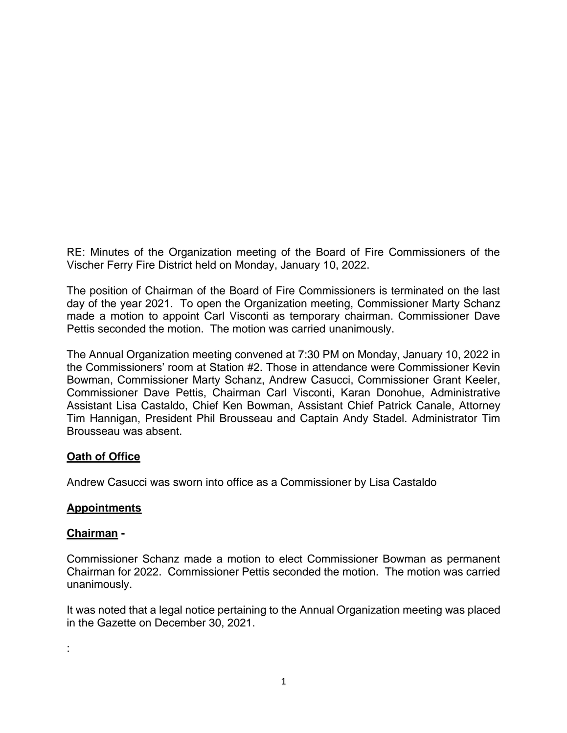RE: Minutes of the Organization meeting of the Board of Fire Commissioners of the Vischer Ferry Fire District held on Monday, January 10, 2022.

The position of Chairman of the Board of Fire Commissioners is terminated on the last day of the year 2021. To open the Organization meeting, Commissioner Marty Schanz made a motion to appoint Carl Visconti as temporary chairman. Commissioner Dave Pettis seconded the motion. The motion was carried unanimously.

The Annual Organization meeting convened at 7:30 PM on Monday, January 10, 2022 in the Commissioners' room at Station #2. Those in attendance were Commissioner Kevin Bowman, Commissioner Marty Schanz, Andrew Casucci, Commissioner Grant Keeler, Commissioner Dave Pettis, Chairman Carl Visconti, Karan Donohue, Administrative Assistant Lisa Castaldo, Chief Ken Bowman, Assistant Chief Patrick Canale, Attorney Tim Hannigan, President Phil Brousseau and Captain Andy Stadel. Administrator Tim Brousseau was absent.

# **Oath of Office**

Andrew Casucci was sworn into office as a Commissioner by Lisa Castaldo

## **Appointments**

#### **Chairman -**

Commissioner Schanz made a motion to elect Commissioner Bowman as permanent Chairman for 2022. Commissioner Pettis seconded the motion. The motion was carried unanimously.

It was noted that a legal notice pertaining to the Annual Organization meeting was placed in the Gazette on December 30, 2021.

: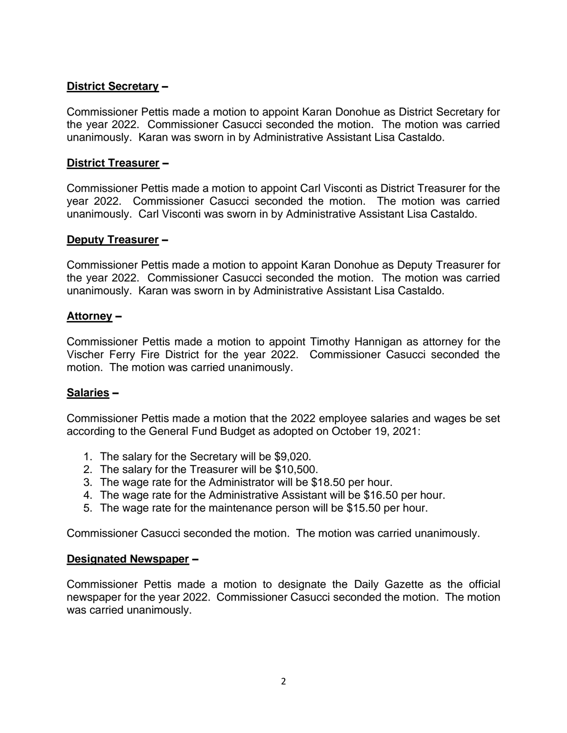## **District Secretary –**

Commissioner Pettis made a motion to appoint Karan Donohue as District Secretary for the year 2022. Commissioner Casucci seconded the motion. The motion was carried unanimously. Karan was sworn in by Administrative Assistant Lisa Castaldo.

### **District Treasurer –**

Commissioner Pettis made a motion to appoint Carl Visconti as District Treasurer for the year 2022. Commissioner Casucci seconded the motion. The motion was carried unanimously. Carl Visconti was sworn in by Administrative Assistant Lisa Castaldo.

### **Deputy Treasurer –**

Commissioner Pettis made a motion to appoint Karan Donohue as Deputy Treasurer for the year 2022. Commissioner Casucci seconded the motion. The motion was carried unanimously. Karan was sworn in by Administrative Assistant Lisa Castaldo.

#### **Attorney –**

Commissioner Pettis made a motion to appoint Timothy Hannigan as attorney for the Vischer Ferry Fire District for the year 2022. Commissioner Casucci seconded the motion. The motion was carried unanimously.

#### **Salaries –**

Commissioner Pettis made a motion that the 2022 employee salaries and wages be set according to the General Fund Budget as adopted on October 19, 2021:

- 1. The salary for the Secretary will be \$9,020.
- 2. The salary for the Treasurer will be \$10,500.
- 3. The wage rate for the Administrator will be \$18.50 per hour.
- 4. The wage rate for the Administrative Assistant will be \$16.50 per hour.
- 5. The wage rate for the maintenance person will be \$15.50 per hour.

Commissioner Casucci seconded the motion. The motion was carried unanimously.

#### **Designated Newspaper –**

Commissioner Pettis made a motion to designate the Daily Gazette as the official newspaper for the year 2022. Commissioner Casucci seconded the motion. The motion was carried unanimously.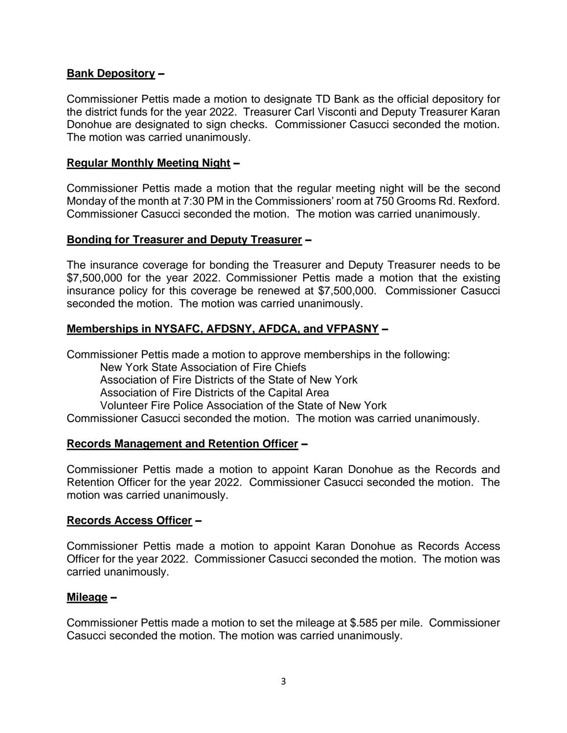## **Bank Depository –**

Commissioner Pettis made a motion to designate TD Bank as the official depository for the district funds for the year 2022. Treasurer Carl Visconti and Deputy Treasurer Karan Donohue are designated to sign checks. Commissioner Casucci seconded the motion. The motion was carried unanimously.

### **Regular Monthly Meeting Night –**

Commissioner Pettis made a motion that the regular meeting night will be the second Monday of the month at 7:30 PM in the Commissioners' room at 750 Grooms Rd. Rexford. Commissioner Casucci seconded the motion. The motion was carried unanimously.

### **Bonding for Treasurer and Deputy Treasurer –**

The insurance coverage for bonding the Treasurer and Deputy Treasurer needs to be \$7,500,000 for the year 2022. Commissioner Pettis made a motion that the existing insurance policy for this coverage be renewed at \$7,500,000. Commissioner Casucci seconded the motion. The motion was carried unanimously.

## **Memberships in NYSAFC, AFDSNY, AFDCA, and VFPASNY –**

Commissioner Pettis made a motion to approve memberships in the following: New York State Association of Fire Chiefs Association of Fire Districts of the State of New York Association of Fire Districts of the Capital Area Volunteer Fire Police Association of the State of New York Commissioner Casucci seconded the motion. The motion was carried unanimously.

#### **Records Management and Retention Officer –**

Commissioner Pettis made a motion to appoint Karan Donohue as the Records and Retention Officer for the year 2022. Commissioner Casucci seconded the motion. The motion was carried unanimously.

#### **Records Access Officer –**

Commissioner Pettis made a motion to appoint Karan Donohue as Records Access Officer for the year 2022. Commissioner Casucci seconded the motion. The motion was carried unanimously.

#### **Mileage –**

Commissioner Pettis made a motion to set the mileage at \$.585 per mile. Commissioner Casucci seconded the motion. The motion was carried unanimously.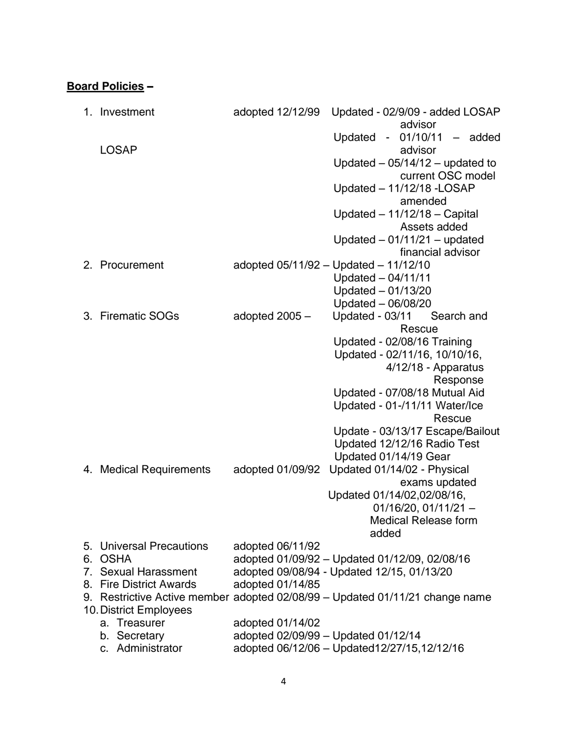# **Board Policies –**

| 1. | Investment                  |                | adopted 12/12/99 | Updated - 02/9/09 - added LOSAP<br>advisor                                   |
|----|-----------------------------|----------------|------------------|------------------------------------------------------------------------------|
|    |                             |                |                  | Updated - $01/10/11$ - added                                                 |
|    | <b>LOSAP</b>                |                |                  | advisor                                                                      |
|    |                             |                |                  | Updated $-05/14/12$ - updated to                                             |
|    |                             |                |                  | current OSC model                                                            |
|    |                             |                |                  | Updated - 11/12/18 - LOSAP                                                   |
|    |                             |                |                  | amended                                                                      |
|    |                             |                |                  | Updated $-11/12/18 -$ Capital                                                |
|    |                             |                |                  | Assets added                                                                 |
|    |                             |                |                  | Updated $-01/11/21$ - updated                                                |
|    |                             |                |                  | financial advisor                                                            |
|    | 2. Procurement              |                |                  | adopted 05/11/92 - Updated - 11/12/10                                        |
|    |                             |                |                  | Updated $-04/11/11$                                                          |
|    |                             |                |                  | Updated $-01/13/20$<br>Updated - 06/08/20                                    |
|    | 3. Firematic SOGs           | adopted 2005 - |                  | Updated - 03/11<br>Search and                                                |
|    |                             |                |                  | Rescue                                                                       |
|    |                             |                |                  | Updated - 02/08/16 Training                                                  |
|    |                             |                |                  | Updated - 02/11/16, 10/10/16,                                                |
|    |                             |                |                  | 4/12/18 - Apparatus                                                          |
|    |                             |                |                  | Response                                                                     |
|    |                             |                |                  | Updated - 07/08/18 Mutual Aid                                                |
|    |                             |                |                  | Updated - 01-/11/11 Water/Ice                                                |
|    |                             |                |                  | Rescue                                                                       |
|    |                             |                |                  | Update - 03/13/17 Escape/Bailout                                             |
|    |                             |                |                  | Updated 12/12/16 Radio Test                                                  |
|    |                             |                |                  | Updated 01/14/19 Gear                                                        |
| 4. | <b>Medical Requirements</b> |                | adopted 01/09/92 | Updated 01/14/02 - Physical                                                  |
|    |                             |                |                  | exams updated<br>Updated 01/14/02,02/08/16,                                  |
|    |                             |                |                  | $01/16/20$ , $01/11/21$ -                                                    |
|    |                             |                |                  | <b>Medical Release form</b>                                                  |
|    |                             |                |                  | added                                                                        |
|    | 5. Universal Precautions    |                | adopted 06/11/92 |                                                                              |
|    | 6. OSHA                     |                |                  | adopted 01/09/92 - Updated 01/12/09, 02/08/16                                |
|    | 7. Sexual Harassment        |                |                  | adopted 09/08/94 - Updated 12/15, 01/13/20                                   |
|    | 8. Fire District Awards     |                | adopted 01/14/85 |                                                                              |
|    |                             |                |                  | 9. Restrictive Active member adopted 02/08/99 - Updated 01/11/21 change name |
|    | 10. District Employees      |                |                  |                                                                              |
|    | a. Treasurer                |                | adopted 01/14/02 |                                                                              |
|    | b. Secretary                |                |                  | adopted 02/09/99 - Updated 01/12/14                                          |
|    | c. Administrator            |                |                  | adopted 06/12/06 - Updated12/27/15,12/12/16                                  |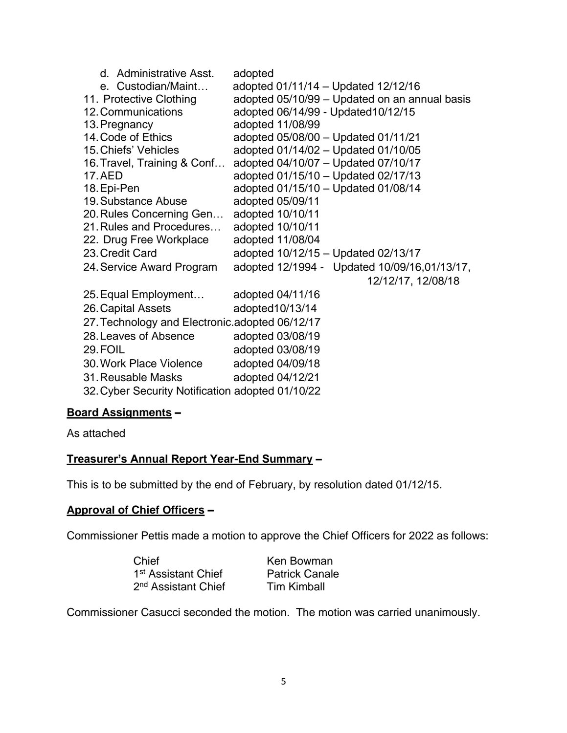| d. Administrative Asst.                          | adopted                                       |  |  |  |
|--------------------------------------------------|-----------------------------------------------|--|--|--|
| e. Custodian/Maint                               | adopted 01/11/14 - Updated 12/12/16           |  |  |  |
| 11. Protective Clothing                          | adopted 05/10/99 - Updated on an annual basis |  |  |  |
| 12. Communications                               | adopted 06/14/99 - Updated 10/12/15           |  |  |  |
| 13. Pregnancy                                    | adopted 11/08/99                              |  |  |  |
| 14. Code of Ethics                               | adopted 05/08/00 - Updated 01/11/21           |  |  |  |
| 15. Chiefs' Vehicles                             | adopted 01/14/02 - Updated 01/10/05           |  |  |  |
| 16. Travel, Training & Conf                      | adopted 04/10/07 - Updated 07/10/17           |  |  |  |
| 17. AED                                          | adopted 01/15/10 - Updated 02/17/13           |  |  |  |
| 18. Epi-Pen                                      | adopted 01/15/10 - Updated 01/08/14           |  |  |  |
| 19. Substance Abuse                              | adopted 05/09/11                              |  |  |  |
| 20. Rules Concerning Gen                         | adopted 10/10/11                              |  |  |  |
| 21. Rules and Procedures                         | adopted 10/10/11                              |  |  |  |
| 22. Drug Free Workplace                          | adopted 11/08/04                              |  |  |  |
| 23. Credit Card                                  | adopted 10/12/15 - Updated 02/13/17           |  |  |  |
| 24. Service Award Program                        | adopted 12/1994 - Updated 10/09/16,01/13/17,  |  |  |  |
|                                                  | 12/12/17, 12/08/18                            |  |  |  |
| 25. Equal Employment                             | adopted 04/11/16                              |  |  |  |
| 26. Capital Assets                               | adopted10/13/14                               |  |  |  |
| 27. Technology and Electronic.adopted 06/12/17   |                                               |  |  |  |
| 28. Leaves of Absence                            | adopted 03/08/19                              |  |  |  |
| 29. FOIL                                         | adopted 03/08/19                              |  |  |  |
| 30. Work Place Violence                          | adopted 04/09/18                              |  |  |  |
| 31. Reusable Masks                               | adopted 04/12/21                              |  |  |  |
| 32. Cyber Security Notification adopted 01/10/22 |                                               |  |  |  |
|                                                  |                                               |  |  |  |

# **Board Assignments –**

As attached

## **Treasurer's Annual Report Year-End Summary –**

This is to be submitted by the end of February, by resolution dated 01/12/15.

## **Approval of Chief Officers –**

Commissioner Pettis made a motion to approve the Chief Officers for 2022 as follows:

| Chief                           |  |
|---------------------------------|--|
| 1 <sup>st</sup> Assistant Chief |  |
| 2 <sup>nd</sup> Assistant Chief |  |

Ken Bowman Patrick Canale **Tim Kimball** 

Commissioner Casucci seconded the motion. The motion was carried unanimously.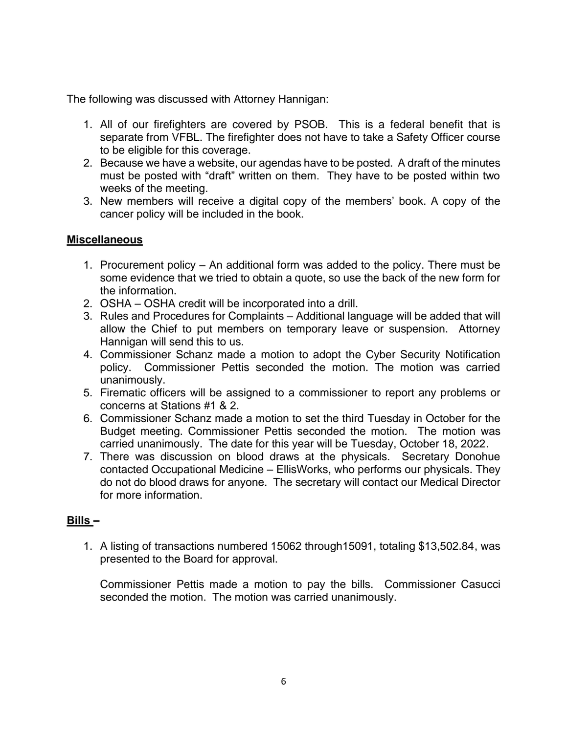The following was discussed with Attorney Hannigan:

- 1. All of our firefighters are covered by PSOB. This is a federal benefit that is separate from VFBL. The firefighter does not have to take a Safety Officer course to be eligible for this coverage.
- 2. Because we have a website, our agendas have to be posted. A draft of the minutes must be posted with "draft" written on them. They have to be posted within two weeks of the meeting.
- 3. New members will receive a digital copy of the members' book. A copy of the cancer policy will be included in the book.

# **Miscellaneous**

- 1. Procurement policy An additional form was added to the policy. There must be some evidence that we tried to obtain a quote, so use the back of the new form for the information.
- 2. OSHA OSHA credit will be incorporated into a drill.
- 3. Rules and Procedures for Complaints Additional language will be added that will allow the Chief to put members on temporary leave or suspension. Attorney Hannigan will send this to us.
- 4. Commissioner Schanz made a motion to adopt the Cyber Security Notification policy. Commissioner Pettis seconded the motion. The motion was carried unanimously.
- 5. Firematic officers will be assigned to a commissioner to report any problems or concerns at Stations #1 & 2.
- 6. Commissioner Schanz made a motion to set the third Tuesday in October for the Budget meeting. Commissioner Pettis seconded the motion. The motion was carried unanimously. The date for this year will be Tuesday, October 18, 2022.
- 7. There was discussion on blood draws at the physicals. Secretary Donohue contacted Occupational Medicine – EllisWorks, who performs our physicals. They do not do blood draws for anyone. The secretary will contact our Medical Director for more information.

# **Bills –**

1. A listing of transactions numbered 15062 through15091, totaling \$13,502.84, was presented to the Board for approval.

Commissioner Pettis made a motion to pay the bills. Commissioner Casucci seconded the motion. The motion was carried unanimously.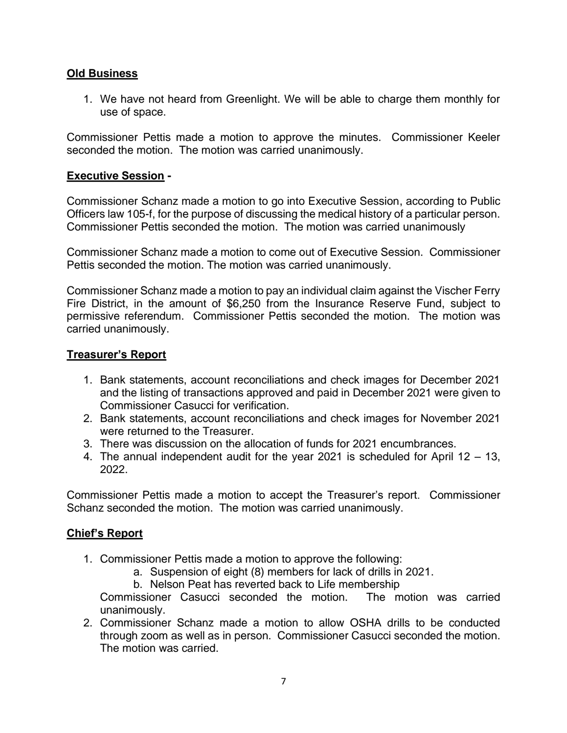## **Old Business**

1. We have not heard from Greenlight. We will be able to charge them monthly for use of space.

Commissioner Pettis made a motion to approve the minutes. Commissioner Keeler seconded the motion. The motion was carried unanimously.

## **Executive Session -**

Commissioner Schanz made a motion to go into Executive Session, according to Public Officers law 105-f, for the purpose of discussing the medical history of a particular person. Commissioner Pettis seconded the motion. The motion was carried unanimously

Commissioner Schanz made a motion to come out of Executive Session. Commissioner Pettis seconded the motion. The motion was carried unanimously.

Commissioner Schanz made a motion to pay an individual claim against the Vischer Ferry Fire District, in the amount of \$6,250 from the Insurance Reserve Fund, subject to permissive referendum. Commissioner Pettis seconded the motion. The motion was carried unanimously.

## **Treasurer's Report**

- 1. Bank statements, account reconciliations and check images for December 2021 and the listing of transactions approved and paid in December 2021 were given to Commissioner Casucci for verification.
- 2. Bank statements, account reconciliations and check images for November 2021 were returned to the Treasurer.
- 3. There was discussion on the allocation of funds for 2021 encumbrances.
- 4. The annual independent audit for the year 2021 is scheduled for April 12 13, 2022.

Commissioner Pettis made a motion to accept the Treasurer's report. Commissioner Schanz seconded the motion. The motion was carried unanimously.

# **Chief's Report**

- 1. Commissioner Pettis made a motion to approve the following:
	- a. Suspension of eight (8) members for lack of drills in 2021.
	- b. Nelson Peat has reverted back to Life membership

Commissioner Casucci seconded the motion. The motion was carried unanimously.

2. Commissioner Schanz made a motion to allow OSHA drills to be conducted through zoom as well as in person. Commissioner Casucci seconded the motion. The motion was carried.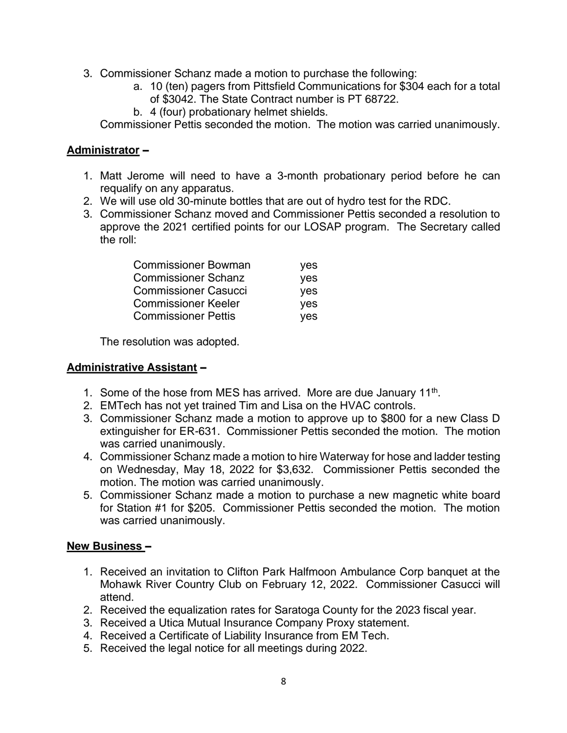- 3. Commissioner Schanz made a motion to purchase the following:
	- a. 10 (ten) pagers from Pittsfield Communications for \$304 each for a total of \$3042. The State Contract number is PT 68722.
	- b. 4 (four) probationary helmet shields.

Commissioner Pettis seconded the motion. The motion was carried unanimously.

## **Administrator –**

- 1. Matt Jerome will need to have a 3-month probationary period before he can requalify on any apparatus.
- 2. We will use old 30-minute bottles that are out of hydro test for the RDC.
- 3. Commissioner Schanz moved and Commissioner Pettis seconded a resolution to approve the 2021 certified points for our LOSAP program. The Secretary called the roll:

| yes        |
|------------|
| yes        |
| <b>ves</b> |
| <b>ves</b> |
| <b>ves</b> |
|            |

The resolution was adopted.

## **Administrative Assistant –**

- 1. Some of the hose from MES has arrived. More are due January  $11<sup>th</sup>$ .
- 2. EMTech has not yet trained Tim and Lisa on the HVAC controls.
- 3. Commissioner Schanz made a motion to approve up to \$800 for a new Class D extinguisher for ER-631. Commissioner Pettis seconded the motion. The motion was carried unanimously.
- 4. Commissioner Schanz made a motion to hire Waterway for hose and ladder testing on Wednesday, May 18, 2022 for \$3,632. Commissioner Pettis seconded the motion. The motion was carried unanimously.
- 5. Commissioner Schanz made a motion to purchase a new magnetic white board for Station #1 for \$205. Commissioner Pettis seconded the motion. The motion was carried unanimously.

# **New Business –**

- 1. Received an invitation to Clifton Park Halfmoon Ambulance Corp banquet at the Mohawk River Country Club on February 12, 2022. Commissioner Casucci will attend.
- 2. Received the equalization rates for Saratoga County for the 2023 fiscal year.
- 3. Received a Utica Mutual Insurance Company Proxy statement.
- 4. Received a Certificate of Liability Insurance from EM Tech.
- 5. Received the legal notice for all meetings during 2022.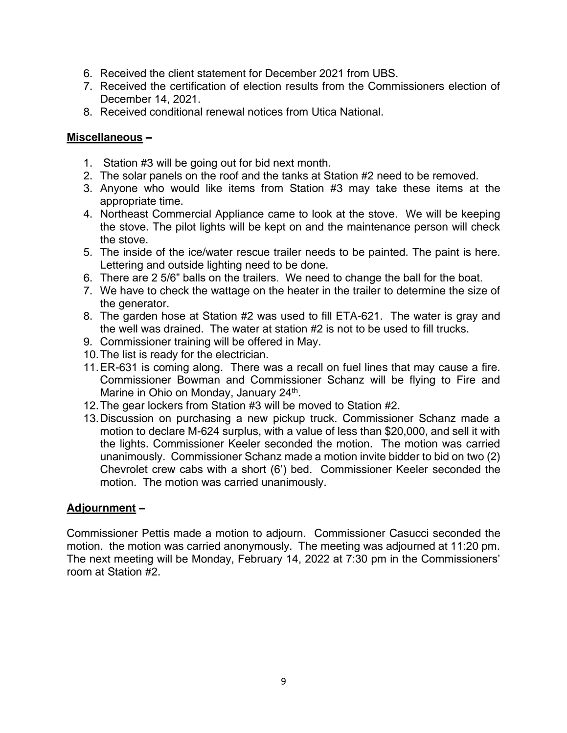- 6. Received the client statement for December 2021 from UBS.
- 7. Received the certification of election results from the Commissioners election of December 14, 2021.
- 8. Received conditional renewal notices from Utica National.

## **Miscellaneous –**

- 1. Station #3 will be going out for bid next month.
- 2. The solar panels on the roof and the tanks at Station #2 need to be removed.
- 3. Anyone who would like items from Station #3 may take these items at the appropriate time.
- 4. Northeast Commercial Appliance came to look at the stove. We will be keeping the stove. The pilot lights will be kept on and the maintenance person will check the stove.
- 5. The inside of the ice/water rescue trailer needs to be painted. The paint is here. Lettering and outside lighting need to be done.
- 6. There are 2 5/6" balls on the trailers. We need to change the ball for the boat.
- 7. We have to check the wattage on the heater in the trailer to determine the size of the generator.
- 8. The garden hose at Station #2 was used to fill ETA-621. The water is gray and the well was drained. The water at station #2 is not to be used to fill trucks.
- 9. Commissioner training will be offered in May.
- 10.The list is ready for the electrician.
- 11.ER-631 is coming along. There was a recall on fuel lines that may cause a fire. Commissioner Bowman and Commissioner Schanz will be flying to Fire and Marine in Ohio on Monday, January 24<sup>th</sup>.
- 12.The gear lockers from Station #3 will be moved to Station #2.
- 13.Discussion on purchasing a new pickup truck. Commissioner Schanz made a motion to declare M-624 surplus, with a value of less than \$20,000, and sell it with the lights. Commissioner Keeler seconded the motion. The motion was carried unanimously. Commissioner Schanz made a motion invite bidder to bid on two (2) Chevrolet crew cabs with a short (6') bed. Commissioner Keeler seconded the motion. The motion was carried unanimously.

# **Adjournment –**

Commissioner Pettis made a motion to adjourn. Commissioner Casucci seconded the motion. the motion was carried anonymously. The meeting was adjourned at 11:20 pm. The next meeting will be Monday, February 14, 2022 at 7:30 pm in the Commissioners' room at Station #2.